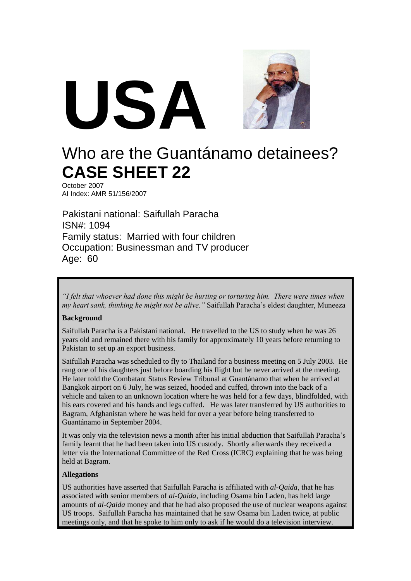

# Who are the Guantánamo detainees? **CASE SHEET 22**

October 2007 AI Index: AMR 51/156/2007

Pakistani national: Saifullah Paracha ISN#: 1094 Family status: Married with four children Occupation: Businessman and TV producer Age: 60

*"I felt that whoever had done this might be hurting or torturing him. There were times when my heart sank, thinking he might not be alive."* Saifullah Paracha's eldest daughter, Muneeza

#### **Background**

Saifullah Paracha is a Pakistani national. He travelled to the US to study when he was 26 years old and remained there with his family for approximately 10 years before returning to Pakistan to set up an export business.

Saifullah Paracha was scheduled to fly to Thailand for a business meeting on 5 July 2003. He rang one of his daughters just before boarding his flight but he never arrived at the meeting. He later told the Combatant Status Review Tribunal at Guantánamo that when he arrived at Bangkok airport on 6 July, he was seized, hooded and cuffed, thrown into the back of a vehicle and taken to an unknown location where he was held for a few days, blindfolded, with his ears covered and his hands and legs cuffed. He was later transferred by US authorities to Bagram, Afghanistan where he was held for over a year before being transferred to Guantánamo in September 2004.

It was only via the television news a month after his initial abduction that Saifullah Paracha's family learnt that he had been taken into US custody. Shortly afterwards they received a letter via the International Committee of the Red Cross (ICRC) explaining that he was being held at Bagram.

#### **Allegations**

US authorities have asserted that Saifullah Paracha is affiliated with *al-Qaida*, that he has associated with senior members of *al-Qaida*, including Osama bin Laden, has held large amounts of *al-Qaida* money and that he had also proposed the use of nuclear weapons against US troops. Saifullah Paracha has maintained that he saw Osama bin Laden twice, at public meetings only, and that he spoke to him only to ask if he would do a television interview.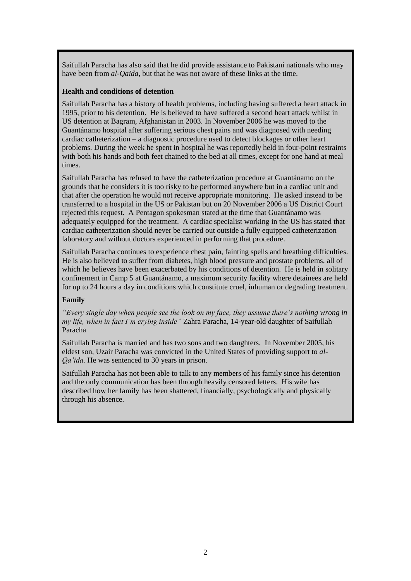Saifullah Paracha has also said that he did provide assistance to Pakistani nationals who may have been from *al-Qaida*, but that he was not aware of these links at the time.

#### **Health and conditions of detention**

Saifullah Paracha has a history of health problems, including having suffered a heart attack in 1995, prior to his detention. He is believed to have suffered a second heart attack whilst in US detention at Bagram, Afghanistan in 2003. In November 2006 he was moved to the Guantánamo hospital after suffering serious chest pains and was diagnosed with needing cardiac catheterization – a diagnostic procedure used to detect blockages or other heart problems. During the week he spent in hospital he was reportedly held in four-point restraints with both his hands and both feet chained to the bed at all times, except for one hand at meal times.

Saifullah Paracha has refused to have the catheterization procedure at Guantánamo on the grounds that he considers it is too risky to be performed anywhere but in a cardiac unit and that after the operation he would not receive appropriate monitoring. He asked instead to be transferred to a hospital in the US or Pakistan but on 20 November 2006 a US District Court rejected this request. A Pentagon spokesman stated at the time that Guantánamo was adequately equipped for the treatment. A cardiac specialist working in the US has stated that cardiac catheterization should never be carried out outside a fully equipped catheterization laboratory and without doctors experienced in performing that procedure.

Saifullah Paracha continues to experience chest pain, fainting spells and breathing difficulties. He is also believed to suffer from diabetes, high blood pressure and prostate problems, all of which he believes have been exacerbated by his conditions of detention. He is held in solitary confinement in Camp 5 at Guantánamo, a maximum security facility where detainees are held for up to 24 hours a day in conditions which constitute cruel, inhuman or degrading treatment.

#### **Family**

*"Every single day when people see the look on my face, they assume there's nothing wrong in my life, when in fact I'm crying inside"* Zahra Paracha, 14-year-old daughter of Saifullah Paracha

Saifullah Paracha is married and has two sons and two daughters. In November 2005, his eldest son, Uzair Paracha was convicted in the United States of providing support to *al-Qa'ida.* He was sentenced to 30 years in prison.

Saifullah Paracha has not been able to talk to any members of his family since his detention and the only communication has been through heavily censored letters. His wife has described how her family has been shattered, financially, psychologically and physically through his absence.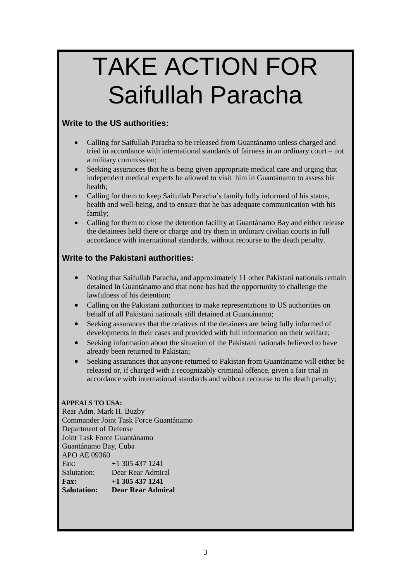# TAKE ACTION FOR Saifullah Paracha

### **Write to the US authorities:**

- Calling for Saifullah Paracha to be released from Guantánamo unless charged and tried in accordance with international standards of fairness in an ordinary court – not a military commission;
- Seeking assurances that he is being given appropriate medical care and urging that independent medical experts be allowed to visit him in Guantánamo to assess his health;
- Calling for them to keep Saifullah Paracha's family fully informed of his status, health and well-being, and to ensure that he has adequate communication with his family;
- Calling for them to close the detention facility at Guantánamo Bay and either release the detainees held there or charge and try them in ordinary civilian courts in full accordance with international standards, without recourse to the death penalty.

## **Write to the Pakistani authorities:**

- Noting that Saifullah Paracha, and approximately 11 other Pakistani nationals remain detained in Guantánamo and that none has had the opportunity to challenge the lawfulness of his detention;
- Calling on the Pakistani authorities to make representations to US authorities on behalf of all Pakistani nationals still detained at Guantánamo;
- Seeking assurances that the relatives of the detainees are being fully informed of developments in their cases and provided with full information on their welfare;
- Seeking information about the situation of the Pakistani nationals believed to have already been returned to Pakistan;
- Seeking assurances that anyone returned to Pakistan from Guantánamo will either be released or, if charged with a recognizably criminal offence, given a fair trial in accordance with international standards and without recourse to the death penalty;

#### **APPEALS TO USA:**

Rear Adm. Mark H. Buzby Commander Joint Task Force Guantánamo Department of Defense Joint Task Force Guantánamo Guantánamo Bay, Cuba APO AE 09360 Fax:  $+1,305,437,1241$ Salutation: Dear Rear Admiral<br>Fax:  $+1$  305 437 1241 **Fax: +1 305 437 1241 Salutation: Dear Rear Admiral**